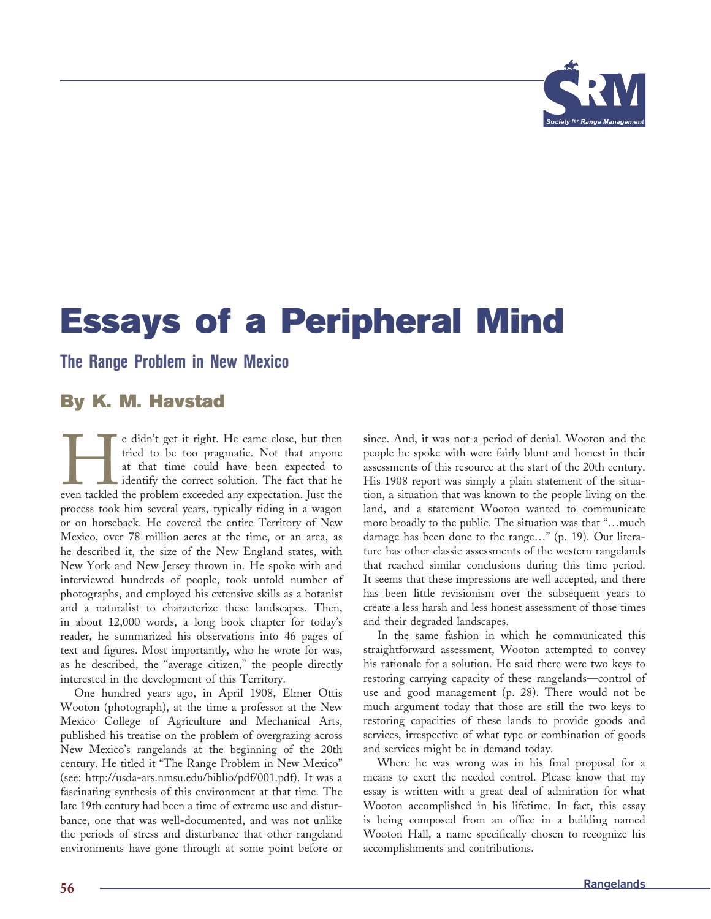

## **Essays of a Peripheral Mind**

## **The Range Problem in New Mexico**

## **By K. M. Havstad**

e didn't get it right. He came close, but then tried to be too pragmatic. Not that anyone at that time could have been expected to identify the correct solution. The fact that he even tackled the problem exceeded any expec tried to be too pragmatic. Not that anyone at that time could have been expected to identify the correct solution. The fact that he process took him several years, typically riding in a wagon or on horseback. He covered the entire Territory of New Mexico, over 78 million acres at the time, or an area, as he described it, the size of the New England states, with New York and New Jersey thrown in. He spoke with and interviewed hundreds of people, took untold number of photographs, and employed his extensive skills as a botanist and a naturalist to characterize these landscapes. Then, in about 12,000 words, a long book chapter for today's reader, he summarized his observations into 46 pages of text and figures. Most importantly, who he wrote for was, as he described, the "average citizen," the people directly interested in the development of this Territory.

One hundred years ago, in April 1908, Elmer Ottis Wooton (photograph), at the time a professor at the New Mexico College of Agriculture and Mechanical Arts, published his treatise on the problem of overgrazing across New Mexico's rangelands at the beginning of the 20th century. He titled it "The Range Problem in New Mexico" (see: http://usda-ars.nmsu.edu/biblio/pdf/001.pdf). It was a fascinating synthesis of this environment at that time. The late 19th century had been a time of extreme use and disturbance, one that was well-documented, and was not unlike the periods of stress and disturbance that other rangeland environments have gone through at some point before or since. And, it was not a period of denial. Wooton and the people he spoke with were fairly blunt and honest in their assessments of this resource at the start of the 20th century. His 1908 report was simply a plain statement of the situation, a situation that was known to the people living on the land, and a statement Wooton wanted to communicate more broadly to the public. The situation was that "…much damage has been done to the range…" (p. 19). Our literature has other classic assessments of the western rangelands that reached similar conclusions during this time period. It seems that these impressions are well accepted, and there has been little revisionism over the subsequent years to create a less harsh and less honest assessment of those times and their degraded landscapes.

In the same fashion in which he communicated this straightforward assessment, Wooton attempted to convey his rationale for a solution. He said there were two keys to restoring carrying capacity of these rangelands—control of use and good management (p. 28). There would not be much argument today that those are still the two keys to restoring capacities of these lands to provide goods and services, irrespective of what type or combination of goods and services might be in demand today.

Where he was wrong was in his final proposal for a means to exert the needed control. Please know that my essay is written with a great deal of admiration for what Wooton accomplished in his lifetime. In fact, this essay is being composed from an office in a building named Wooton Hall, a name specifically chosen to recognize his accomplishments and contributions.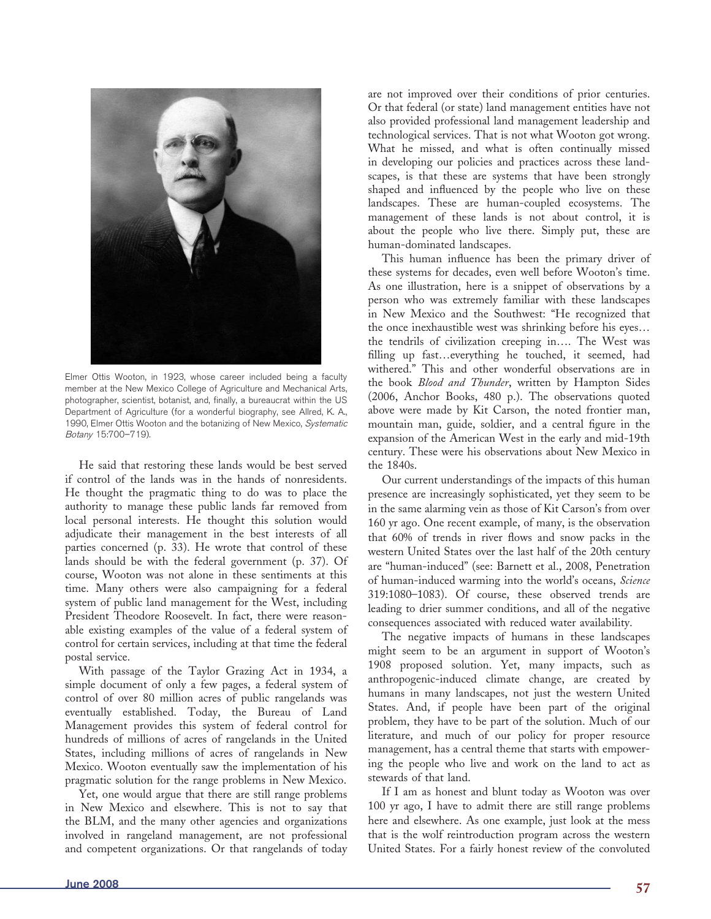

Elmer Ottis Wooton, in 1923, whose career included being a faculty member at the New Mexico College of Agriculture and Mechanical Arts, photographer, scientist, botanist, and, finally, a bureaucrat within the US Department of Agriculture (for a wonderful biography, see Allred, K. A., 1990, Elmer Ottis Wooton and the botanizing of New Mexico, Systematic Botany 15:700–719).

He said that restoring these lands would be best served if control of the lands was in the hands of nonresidents. He thought the pragmatic thing to do was to place the authority to manage these public lands far removed from local personal interests. He thought this solution would adjudicate their management in the best interests of all parties concerned (p. 33). He wrote that control of these lands should be with the federal government (p. 37). Of course, Wooton was not alone in these sentiments at this time. Many others were also campaigning for a federal system of public land management for the West, including President Theodore Roosevelt. In fact, there were reasonable existing examples of the value of a federal system of control for certain services, including at that time the federal postal service.

With passage of the Taylor Grazing Act in 1934, a simple document of only a few pages, a federal system of control of over 80 million acres of public rangelands was eventually established. Today, the Bureau of Land Management provides this system of federal control for hundreds of millions of acres of rangelands in the United States, including millions of acres of rangelands in New Mexico. Wooton eventually saw the implementation of his pragmatic solution for the range problems in New Mexico.

Yet, one would argue that there are still range problems in New Mexico and elsewhere. This is not to say that the BLM, and the many other agencies and organizations involved in rangeland management, are not professional and competent organizations. Or that rangelands of today

are not improved over their conditions of prior centuries. Or that federal (or state) land management entities have not also provided professional land management leadership and technological services. That is not what Wooton got wrong. What he missed, and what is often continually missed in developing our policies and practices across these landscapes, is that these are systems that have been strongly shaped and influenced by the people who live on these landscapes. These are human-coupled ecosystems. The manage ment of these lands is not about control, it is about the people who live there. Simply put, these are human-dominated landscapes.

This human influence has been the primary driver of these systems for decades, even well before Wooton's time. As one illustration, here is a snippet of observations by a person who was extremely familiar with these landscapes in New Mexico and the Southwest: "He recognized that the once inexhaustible west was shrinking before his eyes… the tendrils of civilization creeping in…. The West was filling up fast...everything he touched, it seemed, had withered." This and other wonderful observations are in the book *Blood and Thunder*, written by Hampton Sides (2006, Anchor Books, 480 p.). The observations quoted above were made by Kit Carson, the noted frontier man, mountain man, guide, soldier, and a central figure in the expansion of the American West in the early and mid-19th century. These were his observations about New Mexico in the 1840s.

Our current understandings of the impacts of this human presence are increasingly sophisticated, yet they seem to be in the same alarming vein as those of Kit Carson's from over 160 yr ago. One recent example, of many, is the observation that 60% of trends in river flows and snow packs in the western United States over the last half of the 20th century are "human-induced" (see: Barnett et al., 2008, Penetration of human-induced warming into the world's oceans, *Science* 319:1080–1083). Of course, these observed trends are leading to drier summer conditions, and all of the negative consequences associated with reduced water availability.

The negative impacts of humans in these landscapes might seem to be an argument in support of Wooton's 1908 proposed solution. Yet, many impacts, such as anthropogenic-induced climate change, are created by humans in many landscapes, not just the western United States. And, if people have been part of the original problem, they have to be part of the solution. Much of our literature, and much of our policy for proper resource management, has a central theme that starts with empowering the people who live and work on the land to act as stewards of that land.

If I am as honest and blunt today as Wooton was over 100 yr ago, I have to admit there are still range problems here and elsewhere. As one example, just look at the mess that is the wolf reintroduction program across the western United States. For a fairly honest review of the convoluted